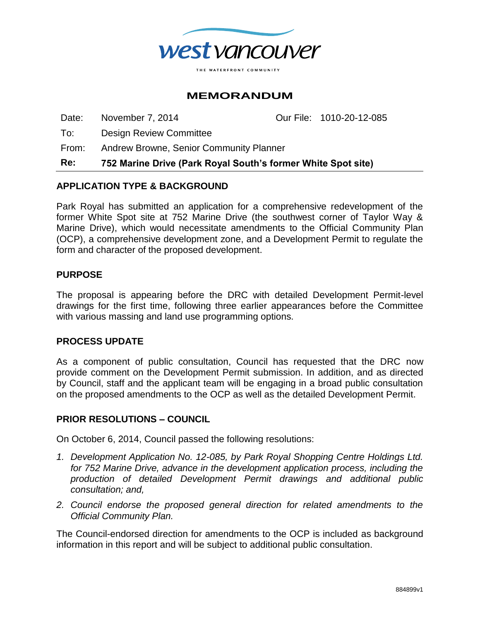

# **MEMORANDUM**

Date: November 7, 2014 Our File: 1010-20-12-085

To: Design Review Committee

From: Andrew Browne, Senior Community Planner

**Re: 752 Marine Drive (Park Royal South's former White Spot site)**

## **APPLICATION TYPE & BACKGROUND**

Park Royal has submitted an application for a comprehensive redevelopment of the former White Spot site at 752 Marine Drive (the southwest corner of Taylor Way & Marine Drive), which would necessitate amendments to the Official Community Plan (OCP), a comprehensive development zone, and a Development Permit to regulate the form and character of the proposed development.

### **PURPOSE**

The proposal is appearing before the DRC with detailed Development Permit-level drawings for the first time, following three earlier appearances before the Committee with various massing and land use programming options.

## **PROCESS UPDATE**

As a component of public consultation, Council has requested that the DRC now provide comment on the Development Permit submission. In addition, and as directed by Council, staff and the applicant team will be engaging in a broad public consultation on the proposed amendments to the OCP as well as the detailed Development Permit.

## **PRIOR RESOLUTIONS – COUNCIL**

On October 6, 2014, Council passed the following resolutions:

- *1. Development Application No. 12-085, by Park Royal Shopping Centre Holdings Ltd. for 752 Marine Drive, advance in the development application process, including the production of detailed Development Permit drawings and additional public consultation; and,*
- *2. Council endorse the proposed general direction for related amendments to the Official Community Plan.*

The Council-endorsed direction for amendments to the OCP is included as background information in this report and will be subject to additional public consultation.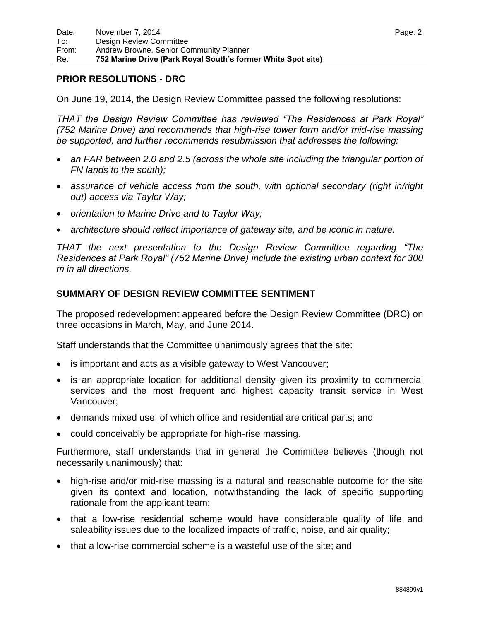## **PRIOR RESOLUTIONS - DRC**

On June 19, 2014, the Design Review Committee passed the following resolutions:

*THAT the Design Review Committee has reviewed "The Residences at Park Royal" (752 Marine Drive) and recommends that high-rise tower form and/or mid-rise massing be supported, and further recommends resubmission that addresses the following:*

- an FAR between 2.0 and 2.5 (across the whole site including the triangular portion of *FN lands to the south);*
- *assurance of vehicle access from the south, with optional secondary (right in/right out) access via Taylor Way;*
- *orientation to Marine Drive and to Taylor Way;*
- *architecture should reflect importance of gateway site, and be iconic in nature.*

*THAT the next presentation to the Design Review Committee regarding "The Residences at Park Royal" (752 Marine Drive) include the existing urban context for 300 m in all directions.*

## **SUMMARY OF DESIGN REVIEW COMMITTEE SENTIMENT**

The proposed redevelopment appeared before the Design Review Committee (DRC) on three occasions in March, May, and June 2014.

Staff understands that the Committee unanimously agrees that the site:

- is important and acts as a visible gateway to West Vancouver;
- is an appropriate location for additional density given its proximity to commercial services and the most frequent and highest capacity transit service in West Vancouver;
- demands mixed use, of which office and residential are critical parts; and
- could conceivably be appropriate for high-rise massing.

Furthermore, staff understands that in general the Committee believes (though not necessarily unanimously) that:

- high-rise and/or mid-rise massing is a natural and reasonable outcome for the site given its context and location, notwithstanding the lack of specific supporting rationale from the applicant team;
- that a low-rise residential scheme would have considerable quality of life and saleability issues due to the localized impacts of traffic, noise, and air quality;
- that a low-rise commercial scheme is a wasteful use of the site; and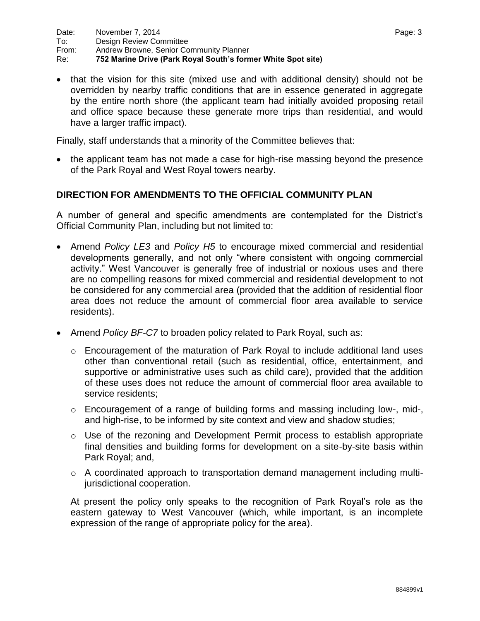• that the vision for this site (mixed use and with additional density) should not be overridden by nearby traffic conditions that are in essence generated in aggregate by the entire north shore (the applicant team had initially avoided proposing retail and office space because these generate more trips than residential, and would have a larger traffic impact).

Finally, staff understands that a minority of the Committee believes that:

 the applicant team has not made a case for high-rise massing beyond the presence of the Park Royal and West Royal towers nearby.

## **DIRECTION FOR AMENDMENTS TO THE OFFICIAL COMMUNITY PLAN**

A number of general and specific amendments are contemplated for the District"s Official Community Plan, including but not limited to:

- Amend *Policy LE3* and *Policy H5* to encourage mixed commercial and residential developments generally, and not only "where consistent with ongoing commercial activity." West Vancouver is generally free of industrial or noxious uses and there are no compelling reasons for mixed commercial and residential development to not be considered for any commercial area (provided that the addition of residential floor area does not reduce the amount of commercial floor area available to service residents).
- Amend *Policy BF-C7* to broaden policy related to Park Royal, such as:
	- $\circ$  Encouragement of the maturation of Park Royal to include additional land uses other than conventional retail (such as residential, office, entertainment, and supportive or administrative uses such as child care), provided that the addition of these uses does not reduce the amount of commercial floor area available to service residents;
	- o Encouragement of a range of building forms and massing including low-, mid-, and high-rise, to be informed by site context and view and shadow studies;
	- o Use of the rezoning and Development Permit process to establish appropriate final densities and building forms for development on a site-by-site basis within Park Royal; and,
	- o A coordinated approach to transportation demand management including multijurisdictional cooperation.

At present the policy only speaks to the recognition of Park Royal"s role as the eastern gateway to West Vancouver (which, while important, is an incomplete expression of the range of appropriate policy for the area).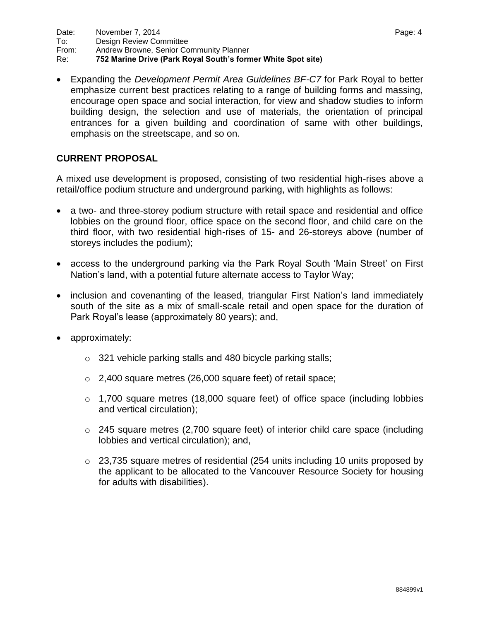Expanding the *Development Permit Area Guidelines BF-C7* for Park Royal to better emphasize current best practices relating to a range of building forms and massing, encourage open space and social interaction, for view and shadow studies to inform building design, the selection and use of materials, the orientation of principal entrances for a given building and coordination of same with other buildings, emphasis on the streetscape, and so on.

## **CURRENT PROPOSAL**

A mixed use development is proposed, consisting of two residential high-rises above a retail/office podium structure and underground parking, with highlights as follows:

- a two- and three-storey podium structure with retail space and residential and office lobbies on the ground floor, office space on the second floor, and child care on the third floor, with two residential high-rises of 15- and 26-storeys above (number of storeys includes the podium);
- access to the underground parking via the Park Royal South 'Main Street' on First Nation"s land, with a potential future alternate access to Taylor Way;
- inclusion and covenanting of the leased, triangular First Nation's land immediately south of the site as a mix of small-scale retail and open space for the duration of Park Royal"s lease (approximately 80 years); and,
- approximately:
	- o 321 vehicle parking stalls and 480 bicycle parking stalls;
	- o 2,400 square metres (26,000 square feet) of retail space;
	- $\circ$  1,700 square metres (18,000 square feet) of office space (including lobbies and vertical circulation);
	- $\circ$  245 square metres (2,700 square feet) of interior child care space (including lobbies and vertical circulation); and,
	- $\circ$  23,735 square metres of residential (254 units including 10 units proposed by the applicant to be allocated to the Vancouver Resource Society for housing for adults with disabilities).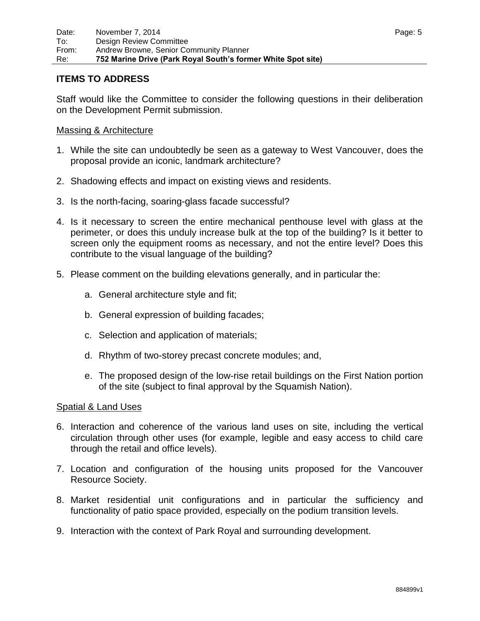## **ITEMS TO ADDRESS**

Staff would like the Committee to consider the following questions in their deliberation on the Development Permit submission.

### Massing & Architecture

- 1. While the site can undoubtedly be seen as a gateway to West Vancouver, does the proposal provide an iconic, landmark architecture?
- 2. Shadowing effects and impact on existing views and residents.
- 3. Is the north-facing, soaring-glass facade successful?
- 4. Is it necessary to screen the entire mechanical penthouse level with glass at the perimeter, or does this unduly increase bulk at the top of the building? Is it better to screen only the equipment rooms as necessary, and not the entire level? Does this contribute to the visual language of the building?
- 5. Please comment on the building elevations generally, and in particular the:
	- a. General architecture style and fit;
	- b. General expression of building facades;
	- c. Selection and application of materials;
	- d. Rhythm of two-storey precast concrete modules; and,
	- e. The proposed design of the low-rise retail buildings on the First Nation portion of the site (subject to final approval by the Squamish Nation).

### Spatial & Land Uses

- 6. Interaction and coherence of the various land uses on site, including the vertical circulation through other uses (for example, legible and easy access to child care through the retail and office levels).
- 7. Location and configuration of the housing units proposed for the Vancouver Resource Society.
- 8. Market residential unit configurations and in particular the sufficiency and functionality of patio space provided, especially on the podium transition levels.
- 9. Interaction with the context of Park Royal and surrounding development.